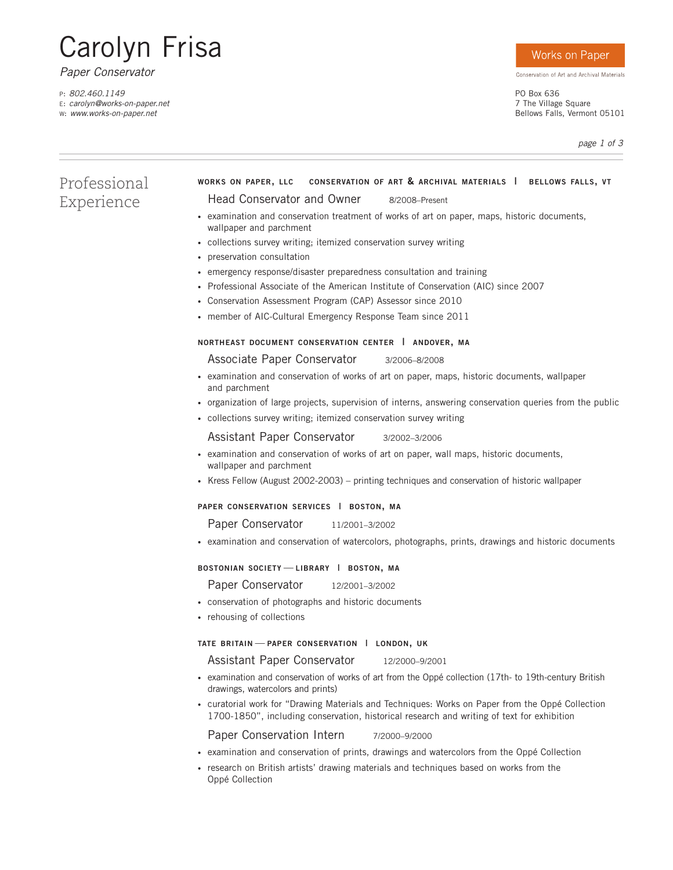# Carolyn Frisa

*Paper Conservator*

P: *802.460.1149* E: *carolyn@works-on-paper.net* W: *www.works-on-paper.net*

## Works on Paper

Conservation of Art and Archival Materials

PO Box 636 7 The Village Square Bellows Falls, Vermont 05101

*page 1 of 3*

# Professional Experience

# **WORKS ON PAPER, LLC CONSERVATION OF ART & ARCHIVAL MATERIALS | BELLOWS FALLS, VT**

## Head Conservator and Owner 8/2008–Present

- examination and conservation treatment of works of art on paper, maps, historic documents, wallpaper and parchment
- collections survey writing; itemized conservation survey writing
- preservation consultation
- emergency response/disaster preparedness consultation and training
- Professional Associate of the American Institute of Conservation (AIC) since 2007
- Conservation Assessment Program (CAP) Assessor since 2010
- member of AIC-Cultural Emergency Response Team since 2011

### **NORTHEAST DOCUMENT CONSERVATION CENTER | ANDOVER, MA**

Associate Paper Conservator 3/2006–8/2008

- examination and conservation of works of art on paper, maps, historic documents, wallpaper and parchment
- organization of large projects, supervision of interns, answering conservation queries from the public
- collections survey writing; itemized conservation survey writing

Assistant Paper Conservator 3/2002–3/2006

- examination and conservation of works of art on paper, wall maps, historic documents, wallpaper and parchment
- Kress Fellow (August 2002-2003) printing techniques and conservation of historic wallpaper

### **PAPER CONSERVATION SERVICES | BOSTON, MA**

Paper Conservator 11/2001-3/2002

• examination and conservation of watercolors, photographs, prints, drawings and historic documents

**BOSTONIAN SOCIETY** — **LIBRARY | BOSTON, MA**

Paper Conservator 12/2001-3/2002

- conservation of photographs and historic documents
- rehousing of collections

#### **TATE BRITAIN** — **PAPER CONSERVATION | LONDON, UK**

Assistant Paper Conservator 12/2000-9/2001

- examination and conservation of works of art from the Oppé collection (17th- to 19th-century British drawings, watercolors and prints)
- curatorial work for "Drawing Materials and Techniques: Works on Paper from the Oppé Collection 1700-1850", including conservation, historical research and writing of text for exhibition

Paper Conservation Intern 7/2000-9/2000

- examination and conservation of prints, drawings and watercolors from the Oppé Collection
- research on British artists' drawing materials and techniques based on works from the Oppé Collection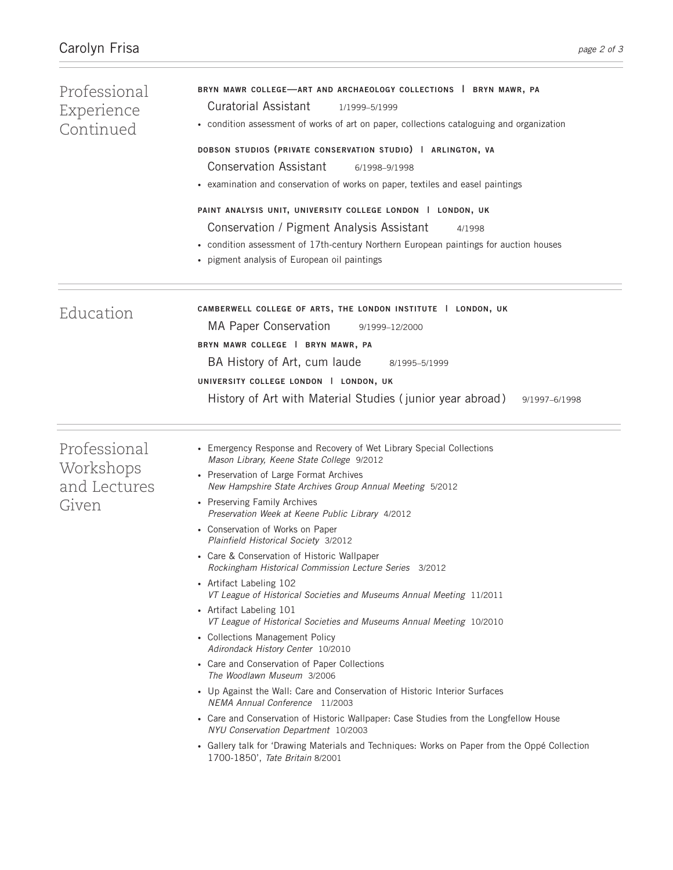| Professional<br>Experience<br>Continued            | BRYN MAWR COLLEGE-ART AND ARCHAEOLOGY COLLECTIONS   BRYN MAWR, PA<br><b>Curatorial Assistant</b><br>1/1999-5/1999<br>• condition assessment of works of art on paper, collections cataloguing and organization<br>DOBSON STUDIOS (PRIVATE CONSERVATION STUDIO)   ARLINGTON, VA<br><b>Conservation Assistant</b><br>6/1998-9/1998<br>• examination and conservation of works on paper, textiles and easel paintings                                                                                                                                                                                                                                                                                                                                                                                                                                                                                                                                                                                                                                                                                                                                                                                                                                |  |  |
|----------------------------------------------------|---------------------------------------------------------------------------------------------------------------------------------------------------------------------------------------------------------------------------------------------------------------------------------------------------------------------------------------------------------------------------------------------------------------------------------------------------------------------------------------------------------------------------------------------------------------------------------------------------------------------------------------------------------------------------------------------------------------------------------------------------------------------------------------------------------------------------------------------------------------------------------------------------------------------------------------------------------------------------------------------------------------------------------------------------------------------------------------------------------------------------------------------------------------------------------------------------------------------------------------------------|--|--|
|                                                    |                                                                                                                                                                                                                                                                                                                                                                                                                                                                                                                                                                                                                                                                                                                                                                                                                                                                                                                                                                                                                                                                                                                                                                                                                                                   |  |  |
|                                                    | PAINT ANALYSIS UNIT, UNIVERSITY COLLEGE LONDON   LONDON, UK<br>Conservation / Pigment Analysis Assistant<br>4/1998<br>• condition assessment of 17th-century Northern European paintings for auction houses<br>• pigment analysis of European oil paintings                                                                                                                                                                                                                                                                                                                                                                                                                                                                                                                                                                                                                                                                                                                                                                                                                                                                                                                                                                                       |  |  |
| Education                                          | CAMBERWELL COLLEGE OF ARTS, THE LONDON INSTITUTE   LONDON, UK<br><b>MA Paper Conservation</b><br>9/1999-12/2000<br>BRYN MAWR COLLEGE   BRYN MAWR, PA<br>BA History of Art, cum laude<br>8/1995-5/1999<br>UNIVERSITY COLLEGE LONDON   LONDON, UK<br>History of Art with Material Studies (junior year abroad)<br>9/1997-6/1998                                                                                                                                                                                                                                                                                                                                                                                                                                                                                                                                                                                                                                                                                                                                                                                                                                                                                                                     |  |  |
| Professional<br>Workshops<br>and Lectures<br>Given | • Emergency Response and Recovery of Wet Library Special Collections<br>Mason Library, Keene State College 9/2012<br>• Preservation of Large Format Archives<br>New Hampshire State Archives Group Annual Meeting 5/2012<br>• Preserving Family Archives<br>Preservation Week at Keene Public Library 4/2012<br>• Conservation of Works on Paper<br>Plainfield Historical Society 3/2012<br>• Care & Conservation of Historic Wallpaper<br>Rockingham Historical Commission Lecture Series 3/2012<br>• Artifact Labeling 102<br>VT League of Historical Societies and Museums Annual Meeting 11/2011<br>• Artifact Labeling 101<br>VT League of Historical Societies and Museums Annual Meeting 10/2010<br>• Collections Management Policy<br>Adirondack History Center 10/2010<br>• Care and Conservation of Paper Collections<br>The Woodlawn Museum 3/2006<br>• Up Against the Wall: Care and Conservation of Historic Interior Surfaces<br>NEMA Annual Conference 11/2003<br>• Care and Conservation of Historic Wallpaper: Case Studies from the Longfellow House<br>NYU Conservation Department 10/2003<br>• Gallery talk for 'Drawing Materials and Techniques: Works on Paper from the Oppé Collection<br>1700-1850', Tate Britain 8/2001 |  |  |